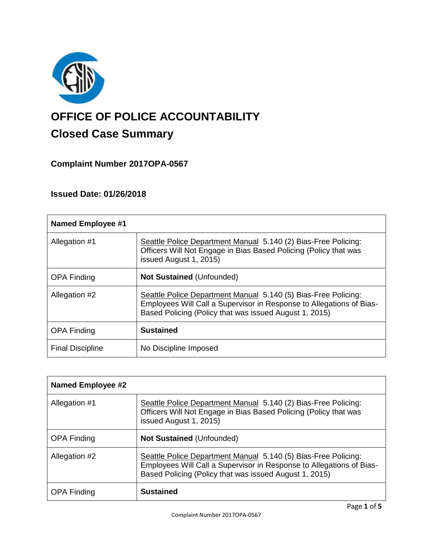

# **OFFICE OF POLICE ACCOUNTABILITY**

# **Closed Case Summary**

### **Complaint Number 2017OPA-0567**

## **Issued Date: 01/26/2018**

| <b>Named Employee #1</b> |                                                                                                                                                                                                  |
|--------------------------|--------------------------------------------------------------------------------------------------------------------------------------------------------------------------------------------------|
| Allegation #1            | Seattle Police Department Manual 5.140 (2) Bias-Free Policing:<br>Officers Will Not Engage in Bias Based Policing (Policy that was<br>issued August 1, 2015)                                     |
| <b>OPA Finding</b>       | <b>Not Sustained (Unfounded)</b>                                                                                                                                                                 |
| Allegation #2            | Seattle Police Department Manual 5.140 (5) Bias-Free Policing:<br>Employees Will Call a Supervisor in Response to Allegations of Bias-<br>Based Policing (Policy that was issued August 1, 2015) |
| <b>OPA Finding</b>       | <b>Sustained</b>                                                                                                                                                                                 |
| <b>Final Discipline</b>  | No Discipline Imposed                                                                                                                                                                            |

| <b>Named Employee #2</b> |                                                                                                                                                                                                  |
|--------------------------|--------------------------------------------------------------------------------------------------------------------------------------------------------------------------------------------------|
| Allegation #1            | Seattle Police Department Manual 5.140 (2) Bias-Free Policing:<br>Officers Will Not Engage in Bias Based Policing (Policy that was<br>issued August 1, 2015)                                     |
| <b>OPA Finding</b>       | <b>Not Sustained (Unfounded)</b>                                                                                                                                                                 |
| Allegation #2            | Seattle Police Department Manual 5.140 (5) Bias-Free Policing:<br>Employees Will Call a Supervisor in Response to Allegations of Bias-<br>Based Policing (Policy that was issued August 1, 2015) |
| <b>OPA Finding</b>       | <b>Sustained</b>                                                                                                                                                                                 |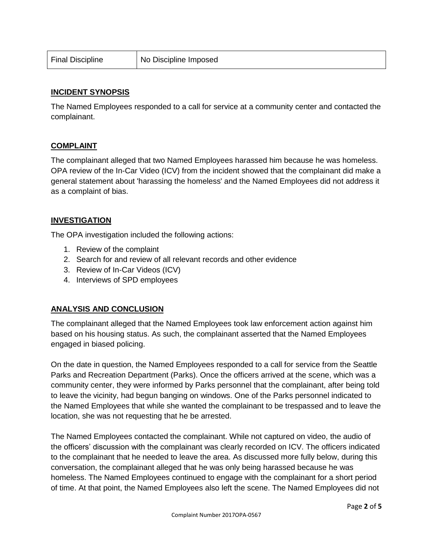| <b>Final Discipline</b> | No Discipline Imposed |
|-------------------------|-----------------------|
|-------------------------|-----------------------|

#### **INCIDENT SYNOPSIS**

The Named Employees responded to a call for service at a community center and contacted the complainant.

#### **COMPLAINT**

The complainant alleged that two Named Employees harassed him because he was homeless. OPA review of the In-Car Video (ICV) from the incident showed that the complainant did make a general statement about 'harassing the homeless' and the Named Employees did not address it as a complaint of bias.

#### **INVESTIGATION**

The OPA investigation included the following actions:

- 1. Review of the complaint
- 2. Search for and review of all relevant records and other evidence
- 3. Review of In-Car Videos (ICV)
- 4. Interviews of SPD employees

#### **ANALYSIS AND CONCLUSION**

The complainant alleged that the Named Employees took law enforcement action against him based on his housing status. As such, the complainant asserted that the Named Employees engaged in biased policing.

On the date in question, the Named Employees responded to a call for service from the Seattle Parks and Recreation Department (Parks). Once the officers arrived at the scene, which was a community center, they were informed by Parks personnel that the complainant, after being told to leave the vicinity, had begun banging on windows. One of the Parks personnel indicated to the Named Employees that while she wanted the complainant to be trespassed and to leave the location, she was not requesting that he be arrested.

The Named Employees contacted the complainant. While not captured on video, the audio of the officers' discussion with the complainant was clearly recorded on ICV. The officers indicated to the complainant that he needed to leave the area. As discussed more fully below, during this conversation, the complainant alleged that he was only being harassed because he was homeless. The Named Employees continued to engage with the complainant for a short period of time. At that point, the Named Employees also left the scene. The Named Employees did not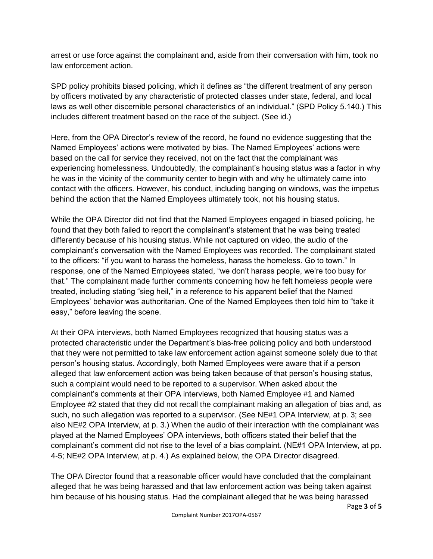arrest or use force against the complainant and, aside from their conversation with him, took no law enforcement action.

SPD policy prohibits biased policing, which it defines as "the different treatment of any person by officers motivated by any characteristic of protected classes under state, federal, and local laws as well other discernible personal characteristics of an individual." (SPD Policy 5.140.) This includes different treatment based on the race of the subject. (See id.)

Here, from the OPA Director's review of the record, he found no evidence suggesting that the Named Employees' actions were motivated by bias. The Named Employees' actions were based on the call for service they received, not on the fact that the complainant was experiencing homelessness. Undoubtedly, the complainant's housing status was a factor in why he was in the vicinity of the community center to begin with and why he ultimately came into contact with the officers. However, his conduct, including banging on windows, was the impetus behind the action that the Named Employees ultimately took, not his housing status.

While the OPA Director did not find that the Named Employees engaged in biased policing, he found that they both failed to report the complainant's statement that he was being treated differently because of his housing status. While not captured on video, the audio of the complainant's conversation with the Named Employees was recorded. The complainant stated to the officers: "if you want to harass the homeless, harass the homeless. Go to town." In response, one of the Named Employees stated, "we don't harass people, we're too busy for that." The complainant made further comments concerning how he felt homeless people were treated, including stating "sieg heil," in a reference to his apparent belief that the Named Employees' behavior was authoritarian. One of the Named Employees then told him to "take it easy," before leaving the scene.

At their OPA interviews, both Named Employees recognized that housing status was a protected characteristic under the Department's bias-free policing policy and both understood that they were not permitted to take law enforcement action against someone solely due to that person's housing status. Accordingly, both Named Employees were aware that if a person alleged that law enforcement action was being taken because of that person's housing status, such a complaint would need to be reported to a supervisor. When asked about the complainant's comments at their OPA interviews, both Named Employee #1 and Named Employee #2 stated that they did not recall the complainant making an allegation of bias and, as such, no such allegation was reported to a supervisor. (See NE#1 OPA Interview, at p. 3; see also NE#2 OPA Interview, at p. 3.) When the audio of their interaction with the complainant was played at the Named Employees' OPA interviews, both officers stated their belief that the complainant's comment did not rise to the level of a bias complaint. (NE#1 OPA Interview, at pp. 4-5; NE#2 OPA Interview, at p. 4.) As explained below, the OPA Director disagreed.

The OPA Director found that a reasonable officer would have concluded that the complainant alleged that he was being harassed and that law enforcement action was being taken against him because of his housing status. Had the complainant alleged that he was being harassed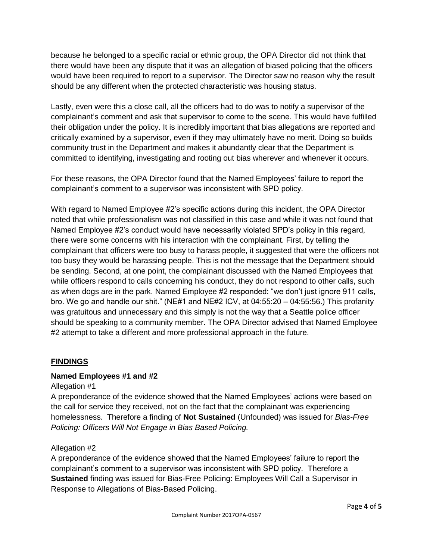because he belonged to a specific racial or ethnic group, the OPA Director did not think that there would have been any dispute that it was an allegation of biased policing that the officers would have been required to report to a supervisor. The Director saw no reason why the result should be any different when the protected characteristic was housing status.

Lastly, even were this a close call, all the officers had to do was to notify a supervisor of the complainant's comment and ask that supervisor to come to the scene. This would have fulfilled their obligation under the policy. It is incredibly important that bias allegations are reported and critically examined by a supervisor, even if they may ultimately have no merit. Doing so builds community trust in the Department and makes it abundantly clear that the Department is committed to identifying, investigating and rooting out bias wherever and whenever it occurs.

For these reasons, the OPA Director found that the Named Employees' failure to report the complainant's comment to a supervisor was inconsistent with SPD policy.

With regard to Named Employee #2's specific actions during this incident, the OPA Director noted that while professionalism was not classified in this case and while it was not found that Named Employee #2's conduct would have necessarily violated SPD's policy in this regard, there were some concerns with his interaction with the complainant. First, by telling the complainant that officers were too busy to harass people, it suggested that were the officers not too busy they would be harassing people. This is not the message that the Department should be sending. Second, at one point, the complainant discussed with the Named Employees that while officers respond to calls concerning his conduct, they do not respond to other calls, such as when dogs are in the park. Named Employee #2 responded: "we don't just ignore 911 calls, bro. We go and handle our shit." (NE#1 and NE#2 ICV, at 04:55:20 – 04:55:56.) This profanity was gratuitous and unnecessary and this simply is not the way that a Seattle police officer should be speaking to a community member. The OPA Director advised that Named Employee #2 attempt to take a different and more professional approach in the future.

#### **FINDINGS**

#### **Named Employees #1 and #2**

#### Allegation #1

A preponderance of the evidence showed that the Named Employees' actions were based on the call for service they received, not on the fact that the complainant was experiencing homelessness. Therefore a finding of **Not Sustained** (Unfounded) was issued for *Bias-Free Policing: Officers Will Not Engage in Bias Based Policing.*

#### Allegation #2

A preponderance of the evidence showed that the Named Employees' failure to report the complainant's comment to a supervisor was inconsistent with SPD policy. Therefore a **Sustained** finding was issued for Bias-Free Policing: Employees Will Call a Supervisor in Response to Allegations of Bias-Based Policing.